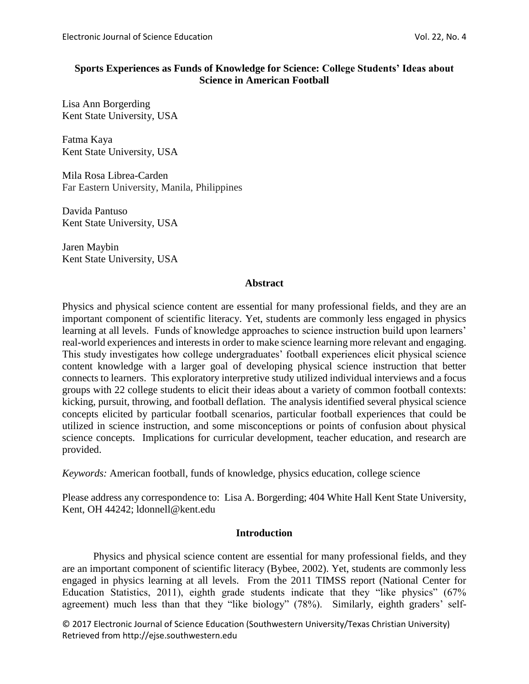### **Sports Experiences as Funds of Knowledge for Science: College Students' Ideas about Science in American Football**

Lisa Ann Borgerding Kent State University, USA

Fatma Kaya Kent State University, USA

Mila Rosa Librea-Carden Far Eastern University, Manila, Philippines

Davida Pantuso Kent State University, USA

Jaren Maybin Kent State University, USA

### **Abstract**

Physics and physical science content are essential for many professional fields, and they are an important component of scientific literacy. Yet, students are commonly less engaged in physics learning at all levels. Funds of knowledge approaches to science instruction build upon learners' real-world experiences and interests in order to make science learning more relevant and engaging. This study investigates how college undergraduates' football experiences elicit physical science content knowledge with a larger goal of developing physical science instruction that better connects to learners. This exploratory interpretive study utilized individual interviews and a focus groups with 22 college students to elicit their ideas about a variety of common football contexts: kicking, pursuit, throwing, and football deflation. The analysis identified several physical science concepts elicited by particular football scenarios, particular football experiences that could be utilized in science instruction, and some misconceptions or points of confusion about physical science concepts. Implications for curricular development, teacher education, and research are provided.

*Keywords:* American football, funds of knowledge, physics education, college science

Please address any correspondence to: Lisa A. Borgerding; 404 White Hall Kent State University, Kent, OH 44242; ldonnell@kent.edu

# **Introduction**

Physics and physical science content are essential for many professional fields, and they are an important component of scientific literacy (Bybee, 2002). Yet, students are commonly less engaged in physics learning at all levels. From the 2011 TIMSS report (National Center for Education Statistics, 2011), eighth grade students indicate that they "like physics" (67% agreement) much less than that they "like biology" (78%). Similarly, eighth graders' self-

© 2017 Electronic Journal of Science Education (Southwestern University/Texas Christian University) Retrieved from http://ejse.southwestern.edu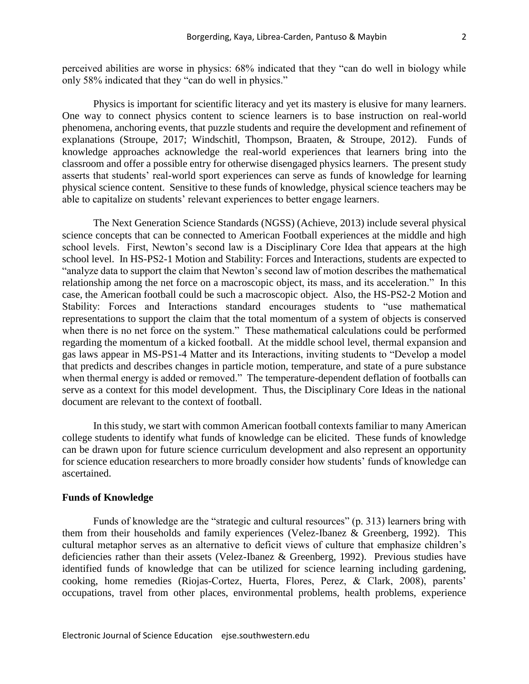perceived abilities are worse in physics: 68% indicated that they "can do well in biology while only 58% indicated that they "can do well in physics."

Physics is important for scientific literacy and yet its mastery is elusive for many learners. One way to connect physics content to science learners is to base instruction on real-world phenomena, anchoring events, that puzzle students and require the development and refinement of explanations (Stroupe, 2017; Windschitl, Thompson, Braaten, & Stroupe, 2012). Funds of knowledge approaches acknowledge the real-world experiences that learners bring into the classroom and offer a possible entry for otherwise disengaged physics learners. The present study asserts that students' real-world sport experiences can serve as funds of knowledge for learning physical science content. Sensitive to these funds of knowledge, physical science teachers may be able to capitalize on students' relevant experiences to better engage learners.

The Next Generation Science Standards (NGSS) (Achieve, 2013) include several physical science concepts that can be connected to American Football experiences at the middle and high school levels. First, Newton's second law is a Disciplinary Core Idea that appears at the high school level. In HS-PS2-1 Motion and Stability: Forces and Interactions, students are expected to "analyze data to support the claim that Newton's second law of motion describes the mathematical relationship among the net force on a macroscopic object, its mass, and its acceleration." In this case, the American football could be such a macroscopic object. Also, the HS-PS2-2 Motion and Stability: Forces and Interactions standard encourages students to "use mathematical representations to support the claim that the total momentum of a system of objects is conserved when there is no net force on the system." These mathematical calculations could be performed regarding the momentum of a kicked football. At the middle school level, thermal expansion and gas laws appear in MS-PS1-4 Matter and its Interactions, inviting students to "Develop a model that predicts and describes changes in particle motion, temperature, and state of a pure substance when thermal energy is added or removed." The temperature-dependent deflation of footballs can serve as a context for this model development. Thus, the Disciplinary Core Ideas in the national document are relevant to the context of football.

In this study, we start with common American football contexts familiar to many American college students to identify what funds of knowledge can be elicited. These funds of knowledge can be drawn upon for future science curriculum development and also represent an opportunity for science education researchers to more broadly consider how students' funds of knowledge can ascertained.

#### **Funds of Knowledge**

Funds of knowledge are the "strategic and cultural resources" (p. 313) learners bring with them from their households and family experiences (Velez-Ibanez & Greenberg, 1992). This cultural metaphor serves as an alternative to deficit views of culture that emphasize children's deficiencies rather than their assets (Velez-Ibanez & Greenberg, 1992). Previous studies have identified funds of knowledge that can be utilized for science learning including gardening, cooking, home remedies (Riojas-Cortez, Huerta, Flores, Perez, & Clark, 2008), parents' occupations, travel from other places, environmental problems, health problems, experience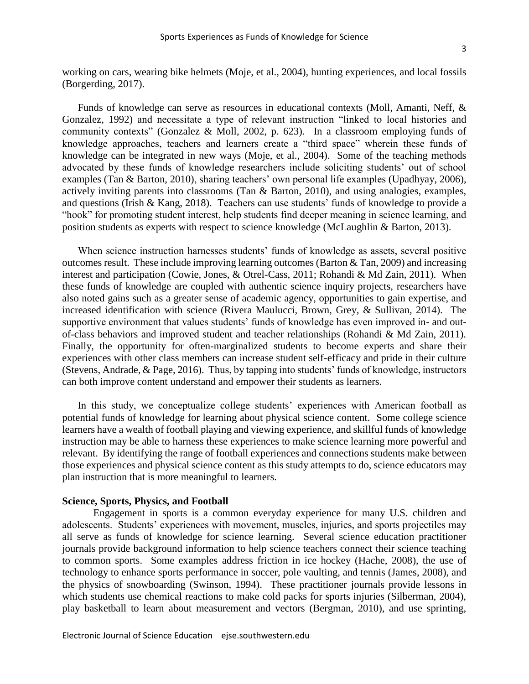working on cars, wearing bike helmets (Moje, et al., 2004), hunting experiences, and local fossils (Borgerding, 2017).

Funds of knowledge can serve as resources in educational contexts (Moll, Amanti, Neff, & Gonzalez, 1992) and necessitate a type of relevant instruction "linked to local histories and community contexts" (Gonzalez & Moll, 2002, p. 623). In a classroom employing funds of knowledge approaches, teachers and learners create a "third space" wherein these funds of knowledge can be integrated in new ways (Moje, et al., 2004). Some of the teaching methods advocated by these funds of knowledge researchers include soliciting students' out of school examples (Tan & Barton, 2010), sharing teachers' own personal life examples (Upadhyay, 2006), actively inviting parents into classrooms (Tan & Barton, 2010), and using analogies, examples, and questions (Irish & Kang, 2018). Teachers can use students' funds of knowledge to provide a "hook" for promoting student interest, help students find deeper meaning in science learning, and position students as experts with respect to science knowledge (McLaughlin & Barton, 2013).

When science instruction harnesses students' funds of knowledge as assets, several positive outcomes result. These include improving learning outcomes (Barton & Tan, 2009) and increasing interest and participation (Cowie, Jones, & Otrel-Cass, 2011; Rohandi & Md Zain, 2011). When these funds of knowledge are coupled with authentic science inquiry projects, researchers have also noted gains such as a greater sense of academic agency, opportunities to gain expertise, and increased identification with science (Rivera Maulucci, Brown, Grey, & Sullivan, 2014). The supportive environment that values students' funds of knowledge has even improved in- and outof-class behaviors and improved student and teacher relationships (Rohandi & Md Zain, 2011). Finally, the opportunity for often-marginalized students to become experts and share their experiences with other class members can increase student self-efficacy and pride in their culture (Stevens, Andrade, & Page, 2016). Thus, by tapping into students' funds of knowledge, instructors can both improve content understand and empower their students as learners.

In this study, we conceptualize college students' experiences with American football as potential funds of knowledge for learning about physical science content. Some college science learners have a wealth of football playing and viewing experience, and skillful funds of knowledge instruction may be able to harness these experiences to make science learning more powerful and relevant. By identifying the range of football experiences and connections students make between those experiences and physical science content as this study attempts to do, science educators may plan instruction that is more meaningful to learners.

#### **Science, Sports, Physics, and Football**

Engagement in sports is a common everyday experience for many U.S. children and adolescents. Students' experiences with movement, muscles, injuries, and sports projectiles may all serve as funds of knowledge for science learning. Several science education practitioner journals provide background information to help science teachers connect their science teaching to common sports. Some examples address friction in ice hockey (Hache, 2008), the use of technology to enhance sports performance in soccer, pole vaulting, and tennis (James, 2008), and the physics of snowboarding (Swinson, 1994). These practitioner journals provide lessons in which students use chemical reactions to make cold packs for sports injuries (Silberman, 2004), play basketball to learn about measurement and vectors (Bergman, 2010), and use sprinting,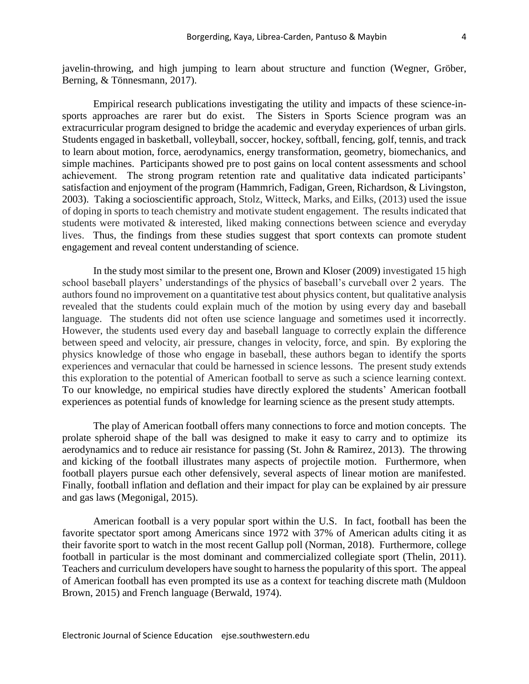javelin-throwing, and high jumping to learn about structure and function (Wegner, Gröber, Berning, & Tönnesmann, 2017).

Empirical research publications investigating the utility and impacts of these science-insports approaches are rarer but do exist. The Sisters in Sports Science program was an extracurricular program designed to bridge the academic and everyday experiences of urban girls. Students engaged in basketball, volleyball, soccer, hockey, softball, fencing, golf, tennis, and track to learn about motion, force, aerodynamics, energy transformation, geometry, biomechanics, and simple machines. Participants showed pre to post gains on local content assessments and school achievement. The strong program retention rate and qualitative data indicated participants' satisfaction and enjoyment of the program (Hammrich, Fadigan, Green, Richardson, & Livingston, 2003). Taking a socioscientific approach, Stolz, Witteck, Marks, and Eilks, (2013) used the issue of doping in sports to teach chemistry and motivate student engagement. The results indicated that students were motivated & interested, liked making connections between science and everyday lives. Thus, the findings from these studies suggest that sport contexts can promote student engagement and reveal content understanding of science.

In the study most similar to the present one, Brown and Kloser (2009) investigated 15 high school baseball players' understandings of the physics of baseball's curveball over 2 years. The authors found no improvement on a quantitative test about physics content, but qualitative analysis revealed that the students could explain much of the motion by using every day and baseball language. The students did not often use science language and sometimes used it incorrectly. However, the students used every day and baseball language to correctly explain the difference between speed and velocity, air pressure, changes in velocity, force, and spin. By exploring the physics knowledge of those who engage in baseball, these authors began to identify the sports experiences and vernacular that could be harnessed in science lessons. The present study extends this exploration to the potential of American football to serve as such a science learning context. To our knowledge, no empirical studies have directly explored the students' American football experiences as potential funds of knowledge for learning science as the present study attempts.

The play of American football offers many connections to force and motion concepts. The prolate spheroid shape of the ball was designed to make it easy to carry and to optimize its aerodynamics and to reduce air resistance for passing (St. John & Ramirez, 2013). The throwing and kicking of the football illustrates many aspects of projectile motion. Furthermore, when football players pursue each other defensively, several aspects of linear motion are manifested. Finally, football inflation and deflation and their impact for play can be explained by air pressure and gas laws (Megonigal, 2015).

American football is a very popular sport within the U.S. In fact, football has been the favorite spectator sport among Americans since 1972 with 37% of American adults citing it as their favorite sport to watch in the most recent Gallup poll (Norman, 2018). Furthermore, college football in particular is the most dominant and commercialized collegiate sport (Thelin, 2011). Teachers and curriculum developers have sought to harness the popularity of this sport. The appeal of American football has even prompted its use as a context for teaching discrete math (Muldoon Brown, 2015) and French language (Berwald, 1974).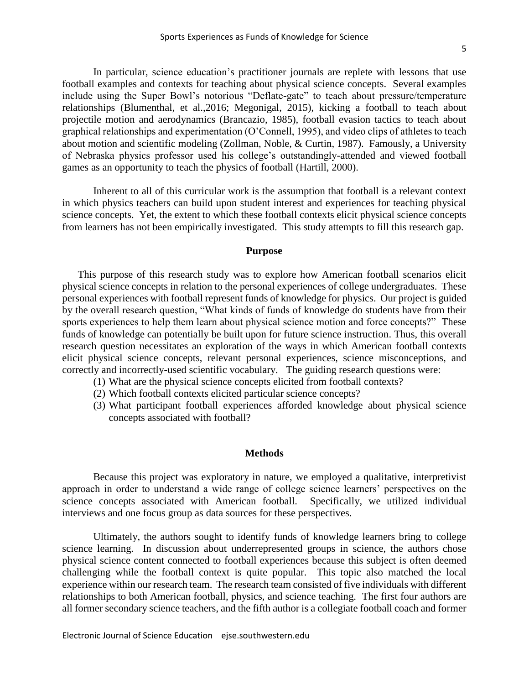In particular, science education's practitioner journals are replete with lessons that use football examples and contexts for teaching about physical science concepts. Several examples include using the Super Bowl's notorious "Deflate-gate" to teach about pressure/temperature relationships (Blumenthal, et al.,2016; Megonigal, 2015), kicking a football to teach about projectile motion and aerodynamics (Brancazio, 1985), football evasion tactics to teach about graphical relationships and experimentation (O'Connell, 1995), and video clips of athletes to teach about motion and scientific modeling (Zollman, Noble, & Curtin, 1987). Famously, a University of Nebraska physics professor used his college's outstandingly-attended and viewed football games as an opportunity to teach the physics of football (Hartill, 2000).

Inherent to all of this curricular work is the assumption that football is a relevant context in which physics teachers can build upon student interest and experiences for teaching physical science concepts. Yet, the extent to which these football contexts elicit physical science concepts from learners has not been empirically investigated. This study attempts to fill this research gap.

#### **Purpose**

This purpose of this research study was to explore how American football scenarios elicit physical science concepts in relation to the personal experiences of college undergraduates. These personal experiences with football represent funds of knowledge for physics. Our project is guided by the overall research question, "What kinds of funds of knowledge do students have from their sports experiences to help them learn about physical science motion and force concepts?" These funds of knowledge can potentially be built upon for future science instruction. Thus, this overall research question necessitates an exploration of the ways in which American football contexts elicit physical science concepts, relevant personal experiences, science misconceptions, and correctly and incorrectly-used scientific vocabulary. The guiding research questions were:

- (1) What are the physical science concepts elicited from football contexts?
- (2) Which football contexts elicited particular science concepts?
- (3) What participant football experiences afforded knowledge about physical science concepts associated with football?

#### **Methods**

Because this project was exploratory in nature, we employed a qualitative, interpretivist approach in order to understand a wide range of college science learners' perspectives on the science concepts associated with American football. Specifically, we utilized individual interviews and one focus group as data sources for these perspectives.

Ultimately, the authors sought to identify funds of knowledge learners bring to college science learning. In discussion about underrepresented groups in science, the authors chose physical science content connected to football experiences because this subject is often deemed challenging while the football context is quite popular. This topic also matched the local experience within our research team. The research team consisted of five individuals with different relationships to both American football, physics, and science teaching. The first four authors are all former secondary science teachers, and the fifth author is a collegiate football coach and former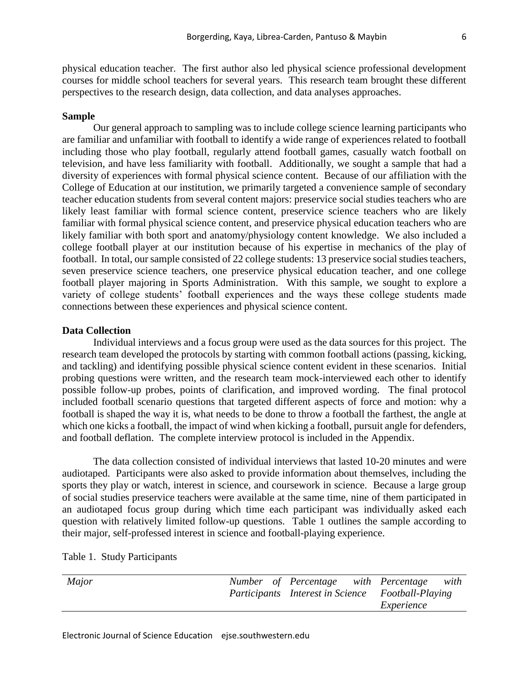physical education teacher. The first author also led physical science professional development courses for middle school teachers for several years. This research team brought these different perspectives to the research design, data collection, and data analyses approaches.

#### **Sample**

Our general approach to sampling was to include college science learning participants who are familiar and unfamiliar with football to identify a wide range of experiences related to football including those who play football, regularly attend football games, casually watch football on television, and have less familiarity with football. Additionally, we sought a sample that had a diversity of experiences with formal physical science content. Because of our affiliation with the College of Education at our institution, we primarily targeted a convenience sample of secondary teacher education students from several content majors: preservice social studies teachers who are likely least familiar with formal science content, preservice science teachers who are likely familiar with formal physical science content, and preservice physical education teachers who are likely familiar with both sport and anatomy/physiology content knowledge. We also included a college football player at our institution because of his expertise in mechanics of the play of football. In total, our sample consisted of 22 college students: 13 preservice social studies teachers, seven preservice science teachers, one preservice physical education teacher, and one college football player majoring in Sports Administration. With this sample, we sought to explore a variety of college students' football experiences and the ways these college students made connections between these experiences and physical science content.

#### **Data Collection**

Individual interviews and a focus group were used as the data sources for this project. The research team developed the protocols by starting with common football actions (passing, kicking, and tackling) and identifying possible physical science content evident in these scenarios. Initial probing questions were written, and the research team mock-interviewed each other to identify possible follow-up probes, points of clarification, and improved wording. The final protocol included football scenario questions that targeted different aspects of force and motion: why a football is shaped the way it is, what needs to be done to throw a football the farthest, the angle at which one kicks a football, the impact of wind when kicking a football, pursuit angle for defenders, and football deflation. The complete interview protocol is included in the Appendix.

The data collection consisted of individual interviews that lasted 10-20 minutes and were audiotaped. Participants were also asked to provide information about themselves, including the sports they play or watch, interest in science, and coursework in science. Because a large group of social studies preservice teachers were available at the same time, nine of them participated in an audiotaped focus group during which time each participant was individually asked each question with relatively limited follow-up questions. Table 1 outlines the sample according to their major, self-professed interest in science and football-playing experience.

| Major |  |  |                                                   |  | Number of Percentage with Percentage with |  |
|-------|--|--|---------------------------------------------------|--|-------------------------------------------|--|
|       |  |  | Participants Interest in Science Football-Playing |  |                                           |  |
|       |  |  |                                                   |  | Experience                                |  |

### Table 1. Study Participants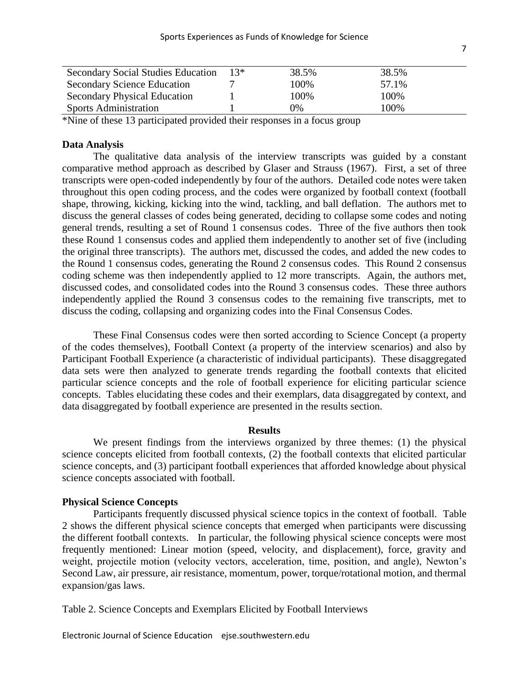| $13*$ | 38.5% | 38.5% |  |
|-------|-------|-------|--|
|       | 100%  | 57.1% |  |
|       | 100%  | 100%  |  |
|       | 0%    | 100%  |  |
|       |       |       |  |

\*Nine of these 13 participated provided their responses in a focus group

#### **Data Analysis**

The qualitative data analysis of the interview transcripts was guided by a constant comparative method approach as described by Glaser and Strauss (1967). First, a set of three transcripts were open-coded independently by four of the authors. Detailed code notes were taken throughout this open coding process, and the codes were organized by football context (football shape, throwing, kicking, kicking into the wind, tackling, and ball deflation. The authors met to discuss the general classes of codes being generated, deciding to collapse some codes and noting general trends, resulting a set of Round 1 consensus codes. Three of the five authors then took these Round 1 consensus codes and applied them independently to another set of five (including the original three transcripts). The authors met, discussed the codes, and added the new codes to the Round 1 consensus codes, generating the Round 2 consensus codes. This Round 2 consensus coding scheme was then independently applied to 12 more transcripts. Again, the authors met, discussed codes, and consolidated codes into the Round 3 consensus codes. These three authors independently applied the Round 3 consensus codes to the remaining five transcripts, met to discuss the coding, collapsing and organizing codes into the Final Consensus Codes.

These Final Consensus codes were then sorted according to Science Concept (a property of the codes themselves), Football Context (a property of the interview scenarios) and also by Participant Football Experience (a characteristic of individual participants). These disaggregated data sets were then analyzed to generate trends regarding the football contexts that elicited particular science concepts and the role of football experience for eliciting particular science concepts. Tables elucidating these codes and their exemplars, data disaggregated by context, and data disaggregated by football experience are presented in the results section.

#### **Results**

We present findings from the interviews organized by three themes: (1) the physical science concepts elicited from football contexts, (2) the football contexts that elicited particular science concepts, and (3) participant football experiences that afforded knowledge about physical science concepts associated with football.

### **Physical Science Concepts**

Participants frequently discussed physical science topics in the context of football. Table 2 shows the different physical science concepts that emerged when participants were discussing the different football contexts. In particular, the following physical science concepts were most frequently mentioned: Linear motion (speed, velocity, and displacement), force, gravity and weight, projectile motion (velocity vectors, acceleration, time, position, and angle), Newton's Second Law, air pressure, air resistance, momentum, power, torque/rotational motion, and thermal expansion/gas laws.

Table 2. Science Concepts and Exemplars Elicited by Football Interviews

Electronic Journal of Science Education ejse.southwestern.edu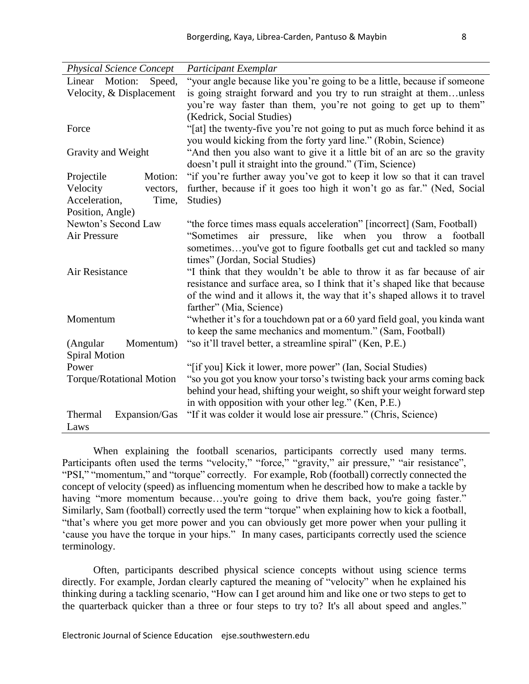| <b>Physical Science Concept</b> |                                 | Participant Exemplar                                                       |  |  |
|---------------------------------|---------------------------------|----------------------------------------------------------------------------|--|--|
| Linear Motion:                  | Speed,                          | "your angle because like you're going to be a little, because if someone   |  |  |
|                                 | Velocity, & Displacement        | is going straight forward and you try to run straight at themunless        |  |  |
|                                 |                                 | you're way faster than them, you're not going to get up to them"           |  |  |
|                                 |                                 | (Kedrick, Social Studies)                                                  |  |  |
| Force                           |                                 | "[at] the twenty-five you're not going to put as much force behind it as   |  |  |
|                                 |                                 | you would kicking from the forty yard line." (Robin, Science)              |  |  |
| Gravity and Weight              |                                 | "And then you also want to give it a little bit of an arc so the gravity   |  |  |
|                                 |                                 | doesn't pull it straight into the ground." (Tim, Science)                  |  |  |
| Projectile                      | Motion:                         | "if you're further away you've got to keep it low so that it can travel    |  |  |
| Velocity                        | vectors,                        | further, because if it goes too high it won't go as far." (Ned, Social     |  |  |
| Acceleration,                   | Time,                           | Studies)                                                                   |  |  |
| Position, Angle)                |                                 |                                                                            |  |  |
| Newton's Second Law             |                                 | "the force times mass equals acceleration" [incorrect] (Sam, Football)     |  |  |
| Air Pressure                    |                                 | "Sometimes air pressure, like when you throw a football                    |  |  |
|                                 |                                 | sometimesyou've got to figure footballs get cut and tackled so many        |  |  |
|                                 |                                 | times" (Jordan, Social Studies)                                            |  |  |
| Air Resistance                  |                                 | "I think that they wouldn't be able to throw it as far because of air      |  |  |
|                                 |                                 | resistance and surface area, so I think that it's shaped like that because |  |  |
|                                 |                                 | of the wind and it allows it, the way that it's shaped allows it to travel |  |  |
|                                 |                                 | farther" (Mia, Science)                                                    |  |  |
| Momentum                        |                                 | "whether it's for a touchdown pat or a 60 yard field goal, you kinda want  |  |  |
|                                 |                                 | to keep the same mechanics and momentum." (Sam, Football)                  |  |  |
| (Angular                        | Momentum)                       | "so it'll travel better, a streamline spiral" (Ken, P.E.)                  |  |  |
| <b>Spiral Motion</b>            |                                 |                                                                            |  |  |
| Power                           |                                 | "[if you] Kick it lower, more power" (Ian, Social Studies)                 |  |  |
|                                 | <b>Torque/Rotational Motion</b> | "so you got you know your torso's twisting back your arms coming back      |  |  |
|                                 |                                 | behind your head, shifting your weight, so shift your weight forward step  |  |  |
|                                 |                                 | in with opposition with your other leg." (Ken, P.E.)                       |  |  |
| Thermal                         | Expansion/Gas                   | "If it was colder it would lose air pressure." (Chris, Science)            |  |  |
| Laws                            |                                 |                                                                            |  |  |

When explaining the football scenarios, participants correctly used many terms. Participants often used the terms "velocity," "force," "gravity," air pressure," "air resistance", "PSI," "momentum," and "torque" correctly. For example, Rob (football) correctly connected the concept of velocity (speed) as influencing momentum when he described how to make a tackle by having "more momentum because...you're going to drive them back, you're going faster." Similarly, Sam (football) correctly used the term "torque" when explaining how to kick a football, "that's where you get more power and you can obviously get more power when your pulling it 'cause you have the torque in your hips." In many cases, participants correctly used the science terminology.

Often, participants described physical science concepts without using science terms directly. For example, Jordan clearly captured the meaning of "velocity" when he explained his thinking during a tackling scenario, "How can I get around him and like one or two steps to get to the quarterback quicker than a three or four steps to try to? It's all about speed and angles."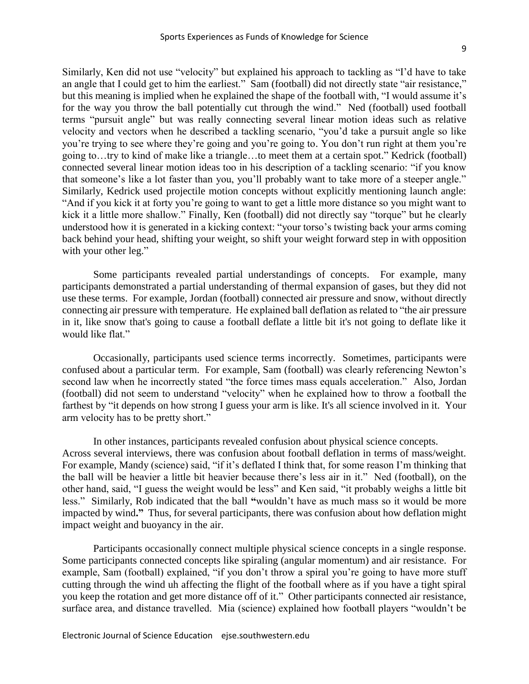Similarly, Ken did not use "velocity" but explained his approach to tackling as "I'd have to take an angle that I could get to him the earliest." Sam (football) did not directly state "air resistance," but this meaning is implied when he explained the shape of the football with, "I would assume it's for the way you throw the ball potentially cut through the wind." Ned (football) used football terms "pursuit angle" but was really connecting several linear motion ideas such as relative velocity and vectors when he described a tackling scenario, "you'd take a pursuit angle so like you're trying to see where they're going and you're going to. You don't run right at them you're going to…try to kind of make like a triangle…to meet them at a certain spot." Kedrick (football) connected several linear motion ideas too in his description of a tackling scenario: "if you know that someone's like a lot faster than you, you'll probably want to take more of a steeper angle." Similarly, Kedrick used projectile motion concepts without explicitly mentioning launch angle: "And if you kick it at forty you're going to want to get a little more distance so you might want to kick it a little more shallow." Finally, Ken (football) did not directly say "torque" but he clearly understood how it is generated in a kicking context: "your torso's twisting back your arms coming back behind your head, shifting your weight, so shift your weight forward step in with opposition with your other leg."

Some participants revealed partial understandings of concepts. For example, many participants demonstrated a partial understanding of thermal expansion of gases, but they did not use these terms. For example, Jordan (football) connected air pressure and snow, without directly connecting air pressure with temperature. He explained ball deflation as related to "the air pressure in it, like snow that's going to cause a football deflate a little bit it's not going to deflate like it would like flat."

Occasionally, participants used science terms incorrectly. Sometimes, participants were confused about a particular term. For example, Sam (football) was clearly referencing Newton's second law when he incorrectly stated "the force times mass equals acceleration." Also, Jordan (football) did not seem to understand "velocity" when he explained how to throw a football the farthest by "it depends on how strong I guess your arm is like. It's all science involved in it. Your arm velocity has to be pretty short."

In other instances, participants revealed confusion about physical science concepts. Across several interviews, there was confusion about football deflation in terms of mass/weight. For example, Mandy (science) said, "if it's deflated I think that, for some reason I'm thinking that the ball will be heavier a little bit heavier because there's less air in it." Ned (football), on the other hand, said, "I guess the weight would be less" and Ken said, "it probably weighs a little bit less." Similarly, Rob indicated that the ball **"**wouldn't have as much mass so it would be more impacted by wind**."** Thus, for several participants, there was confusion about how deflation might impact weight and buoyancy in the air.

Participants occasionally connect multiple physical science concepts in a single response. Some participants connected concepts like spiraling (angular momentum) and air resistance. For example, Sam (football) explained, "if you don't throw a spiral you're going to have more stuff cutting through the wind uh affecting the flight of the football where as if you have a tight spiral you keep the rotation and get more distance off of it." Other participants connected air resistance, surface area, and distance travelled. Mia (science) explained how football players "wouldn't be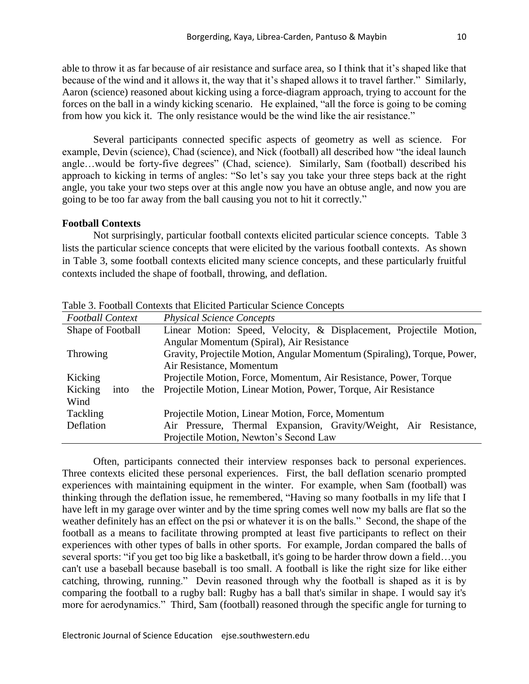able to throw it as far because of air resistance and surface area, so I think that it's shaped like that because of the wind and it allows it, the way that it's shaped allows it to travel farther." Similarly, Aaron (science) reasoned about kicking using a force-diagram approach, trying to account for the forces on the ball in a windy kicking scenario. He explained, "all the force is going to be coming from how you kick it. The only resistance would be the wind like the air resistance."

Several participants connected specific aspects of geometry as well as science. For example, Devin (science), Chad (science), and Nick (football) all described how "the ideal launch angle…would be forty-five degrees" (Chad, science). Similarly, Sam (football) described his approach to kicking in terms of angles: "So let's say you take your three steps back at the right angle, you take your two steps over at this angle now you have an obtuse angle, and now you are going to be too far away from the ball causing you not to hit it correctly."

### **Football Contexts**

Not surprisingly, particular football contexts elicited particular science concepts. Table 3 lists the particular science concepts that were elicited by the various football contexts. As shown in Table 3, some football contexts elicited many science concepts, and these particularly fruitful contexts included the shape of football, throwing, and deflation.

| <b>Football Context</b> | <b>Physical Science Concepts</b>                                         |  |  |  |
|-------------------------|--------------------------------------------------------------------------|--|--|--|
| Shape of Football       | Linear Motion: Speed, Velocity, & Displacement, Projectile Motion,       |  |  |  |
|                         | Angular Momentum (Spiral), Air Resistance                                |  |  |  |
| <b>Throwing</b>         | Gravity, Projectile Motion, Angular Momentum (Spiraling), Torque, Power, |  |  |  |
|                         | Air Resistance, Momentum                                                 |  |  |  |
| Kicking                 | Projectile Motion, Force, Momentum, Air Resistance, Power, Torque        |  |  |  |
| Kicking<br>into         | the Projectile Motion, Linear Motion, Power, Torque, Air Resistance      |  |  |  |
| Wind                    |                                                                          |  |  |  |
| Tackling                | Projectile Motion, Linear Motion, Force, Momentum                        |  |  |  |
| Deflation               | Air Pressure, Thermal Expansion, Gravity/Weight, Air Resistance,         |  |  |  |
|                         | Projectile Motion, Newton's Second Law                                   |  |  |  |

Table 3. Football Contexts that Elicited Particular Science Concepts

Often, participants connected their interview responses back to personal experiences. Three contexts elicited these personal experiences. First, the ball deflation scenario prompted experiences with maintaining equipment in the winter. For example, when Sam (football) was thinking through the deflation issue, he remembered, "Having so many footballs in my life that I have left in my garage over winter and by the time spring comes well now my balls are flat so the weather definitely has an effect on the psi or whatever it is on the balls." Second, the shape of the football as a means to facilitate throwing prompted at least five participants to reflect on their experiences with other types of balls in other sports. For example, Jordan compared the balls of several sports: "if you get too big like a basketball, it's going to be harder throw down a field…you can't use a baseball because baseball is too small. A football is like the right size for like either catching, throwing, running." Devin reasoned through why the football is shaped as it is by comparing the football to a rugby ball: Rugby has a ball that's similar in shape. I would say it's more for aerodynamics." Third, Sam (football) reasoned through the specific angle for turning to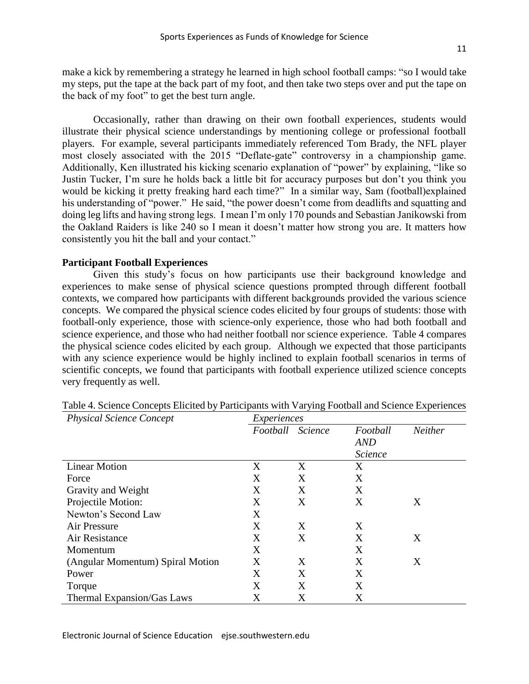make a kick by remembering a strategy he learned in high school football camps: "so I would take my steps, put the tape at the back part of my foot, and then take two steps over and put the tape on the back of my foot" to get the best turn angle.

Occasionally, rather than drawing on their own football experiences, students would illustrate their physical science understandings by mentioning college or professional football players. For example, several participants immediately referenced Tom Brady, the NFL player most closely associated with the 2015 "Deflate-gate" controversy in a championship game. Additionally, Ken illustrated his kicking scenario explanation of "power" by explaining, "like so Justin Tucker, I'm sure he holds back a little bit for accuracy purposes but don't you think you would be kicking it pretty freaking hard each time?" In a similar way, Sam (football)explained his understanding of "power." He said, "the power doesn't come from deadlifts and squatting and doing leg lifts and having strong legs. I mean I'm only 170 pounds and Sebastian Janikowski from the Oakland Raiders is like 240 so I mean it doesn't matter how strong you are. It matters how consistently you hit the ball and your contact."

#### **Participant Football Experiences**

Given this study's focus on how participants use their background knowledge and experiences to make sense of physical science questions prompted through different football contexts, we compared how participants with different backgrounds provided the various science concepts. We compared the physical science codes elicited by four groups of students: those with football-only experience, those with science-only experience, those who had both football and science experience, and those who had neither football nor science experience. Table 4 compares the physical science codes elicited by each group. Although we expected that those participants with any science experience would be highly inclined to explain football scenarios in terms of scientific concepts, we found that participants with football experience utilized science concepts very frequently as well.

| <b>Physical Science Concept</b>   | Experiences |                |                |         |
|-----------------------------------|-------------|----------------|----------------|---------|
|                                   | Football    | <b>Science</b> | Football       | Neither |
|                                   |             |                | <b>AND</b>     |         |
|                                   |             |                | <b>Science</b> |         |
| <b>Linear Motion</b>              | X           | X              | X              |         |
| Force                             | X           | X              | X              |         |
| Gravity and Weight                | X           | X              | X              |         |
| Projectile Motion:                | X           | X              | X              | X       |
| Newton's Second Law               | X           |                |                |         |
| Air Pressure                      | X           | X              | X              |         |
| Air Resistance                    | X           | X              | X              | X       |
| Momentum                          | X           |                | X              |         |
| (Angular Momentum) Spiral Motion  | X           | X              | X              | X       |
| Power                             | X           | X              | X              |         |
| Torque                            | Χ           | X              | X              |         |
| <b>Thermal Expansion/Gas Laws</b> | X           | X              | X              |         |

Table 4. Science Concepts Elicited by Participants with Varying Football and Science Experiences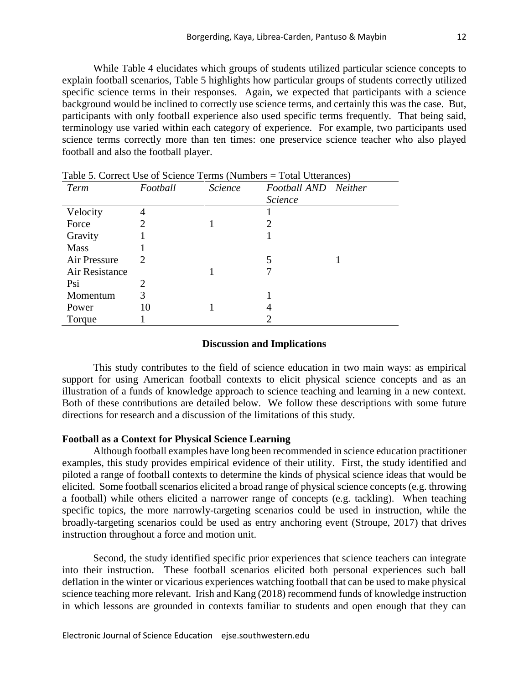While Table 4 elucidates which groups of students utilized particular science concepts to explain football scenarios, Table 5 highlights how particular groups of students correctly utilized specific science terms in their responses. Again, we expected that participants with a science background would be inclined to correctly use science terms, and certainly this was the case. But, participants with only football experience also used specific terms frequently. That being said, terminology use varied within each category of experience. For example, two participants used science terms correctly more than ten times: one preservice science teacher who also played football and also the football player.

| Term           | Football | <b>Science</b> | Football AND Neither |  |
|----------------|----------|----------------|----------------------|--|
|                |          |                | <i>Science</i>       |  |
| Velocity       | 4        |                |                      |  |
| Force          | 2        |                | 2                    |  |
| Gravity        |          |                |                      |  |
| <b>Mass</b>    |          |                |                      |  |
| Air Pressure   | 2        |                | 5                    |  |
| Air Resistance |          |                |                      |  |
| Psi            | 2        |                |                      |  |
| Momentum       | 3        |                |                      |  |
| Power          | 10       |                | 4                    |  |
| Torque         |          |                |                      |  |

Table 5. Correct Use of Science Terms (Numbers = Total Utterances)

#### **Discussion and Implications**

This study contributes to the field of science education in two main ways: as empirical support for using American football contexts to elicit physical science concepts and as an illustration of a funds of knowledge approach to science teaching and learning in a new context. Both of these contributions are detailed below. We follow these descriptions with some future directions for research and a discussion of the limitations of this study.

### **Football as a Context for Physical Science Learning**

Although football examples have long been recommended in science education practitioner examples, this study provides empirical evidence of their utility. First, the study identified and piloted a range of football contexts to determine the kinds of physical science ideas that would be elicited. Some football scenarios elicited a broad range of physical science concepts (e.g. throwing a football) while others elicited a narrower range of concepts (e.g. tackling). When teaching specific topics, the more narrowly-targeting scenarios could be used in instruction, while the broadly-targeting scenarios could be used as entry anchoring event (Stroupe, 2017) that drives instruction throughout a force and motion unit.

Second, the study identified specific prior experiences that science teachers can integrate into their instruction. These football scenarios elicited both personal experiences such ball deflation in the winter or vicarious experiences watching football that can be used to make physical science teaching more relevant. Irish and Kang (2018) recommend funds of knowledge instruction in which lessons are grounded in contexts familiar to students and open enough that they can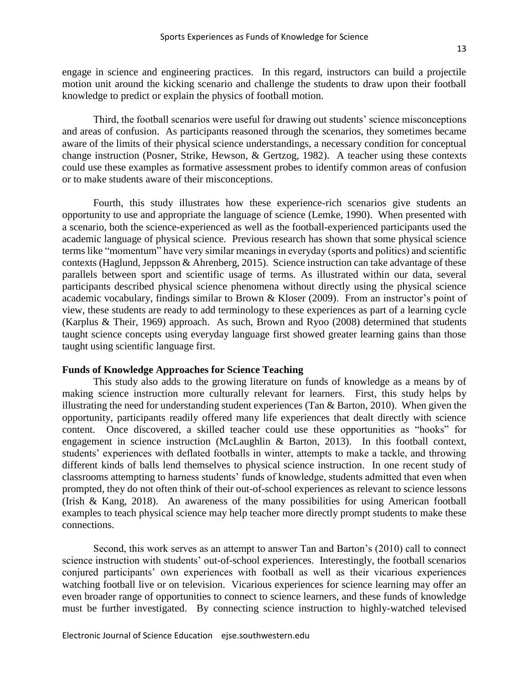engage in science and engineering practices. In this regard, instructors can build a projectile motion unit around the kicking scenario and challenge the students to draw upon their football knowledge to predict or explain the physics of football motion.

Third, the football scenarios were useful for drawing out students' science misconceptions and areas of confusion. As participants reasoned through the scenarios, they sometimes became aware of the limits of their physical science understandings, a necessary condition for conceptual change instruction (Posner, Strike, Hewson, & Gertzog, 1982). A teacher using these contexts could use these examples as formative assessment probes to identify common areas of confusion or to make students aware of their misconceptions.

Fourth, this study illustrates how these experience-rich scenarios give students an opportunity to use and appropriate the language of science (Lemke, 1990). When presented with a scenario, both the science-experienced as well as the football-experienced participants used the academic language of physical science. Previous research has shown that some physical science terms like "momentum" have very similar meanings in everyday (sports and politics) and scientific contexts (Haglund, Jeppsson & Ahrenberg, 2015). Science instruction can take advantage of these parallels between sport and scientific usage of terms. As illustrated within our data, several participants described physical science phenomena without directly using the physical science academic vocabulary, findings similar to Brown & Kloser (2009). From an instructor's point of view, these students are ready to add terminology to these experiences as part of a learning cycle (Karplus & Their, 1969) approach. As such, Brown and Ryoo (2008) determined that students taught science concepts using everyday language first showed greater learning gains than those taught using scientific language first.

### **Funds of Knowledge Approaches for Science Teaching**

This study also adds to the growing literature on funds of knowledge as a means by of making science instruction more culturally relevant for learners. First, this study helps by illustrating the need for understanding student experiences (Tan & Barton, 2010). When given the opportunity, participants readily offered many life experiences that dealt directly with science content. Once discovered, a skilled teacher could use these opportunities as "hooks" for engagement in science instruction (McLaughlin & Barton, 2013). In this football context, students' experiences with deflated footballs in winter, attempts to make a tackle, and throwing different kinds of balls lend themselves to physical science instruction. In one recent study of classrooms attempting to harness students' funds of knowledge, students admitted that even when prompted, they do not often think of their out-of-school experiences as relevant to science lessons (Irish & Kang, 2018). An awareness of the many possibilities for using American football examples to teach physical science may help teacher more directly prompt students to make these connections.

Second, this work serves as an attempt to answer Tan and Barton's (2010) call to connect science instruction with students' out-of-school experiences. Interestingly, the football scenarios conjured participants' own experiences with football as well as their vicarious experiences watching football live or on television. Vicarious experiences for science learning may offer an even broader range of opportunities to connect to science learners, and these funds of knowledge must be further investigated. By connecting science instruction to highly-watched televised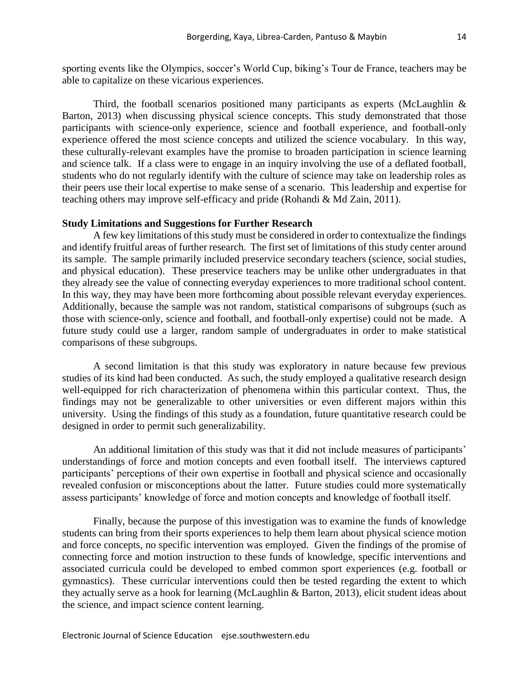sporting events like the Olympics, soccer's World Cup, biking's Tour de France, teachers may be able to capitalize on these vicarious experiences.

Third, the football scenarios positioned many participants as experts (McLaughlin & Barton, 2013) when discussing physical science concepts. This study demonstrated that those participants with science-only experience, science and football experience, and football-only experience offered the most science concepts and utilized the science vocabulary. In this way, these culturally-relevant examples have the promise to broaden participation in science learning and science talk. If a class were to engage in an inquiry involving the use of a deflated football, students who do not regularly identify with the culture of science may take on leadership roles as their peers use their local expertise to make sense of a scenario. This leadership and expertise for teaching others may improve self-efficacy and pride (Rohandi & Md Zain, 2011).

### **Study Limitations and Suggestions for Further Research**

A few key limitations of this study must be considered in order to contextualize the findings and identify fruitful areas of further research. The first set of limitations of this study center around its sample. The sample primarily included preservice secondary teachers (science, social studies, and physical education). These preservice teachers may be unlike other undergraduates in that they already see the value of connecting everyday experiences to more traditional school content. In this way, they may have been more forthcoming about possible relevant everyday experiences. Additionally, because the sample was not random, statistical comparisons of subgroups (such as those with science-only, science and football, and football-only expertise) could not be made. A future study could use a larger, random sample of undergraduates in order to make statistical comparisons of these subgroups.

A second limitation is that this study was exploratory in nature because few previous studies of its kind had been conducted. As such, the study employed a qualitative research design well-equipped for rich characterization of phenomena within this particular context. Thus, the findings may not be generalizable to other universities or even different majors within this university. Using the findings of this study as a foundation, future quantitative research could be designed in order to permit such generalizability.

An additional limitation of this study was that it did not include measures of participants' understandings of force and motion concepts and even football itself. The interviews captured participants' perceptions of their own expertise in football and physical science and occasionally revealed confusion or misconceptions about the latter. Future studies could more systematically assess participants' knowledge of force and motion concepts and knowledge of football itself.

Finally, because the purpose of this investigation was to examine the funds of knowledge students can bring from their sports experiences to help them learn about physical science motion and force concepts, no specific intervention was employed. Given the findings of the promise of connecting force and motion instruction to these funds of knowledge, specific interventions and associated curricula could be developed to embed common sport experiences (e.g. football or gymnastics). These curricular interventions could then be tested regarding the extent to which they actually serve as a hook for learning (McLaughlin & Barton, 2013), elicit student ideas about the science, and impact science content learning.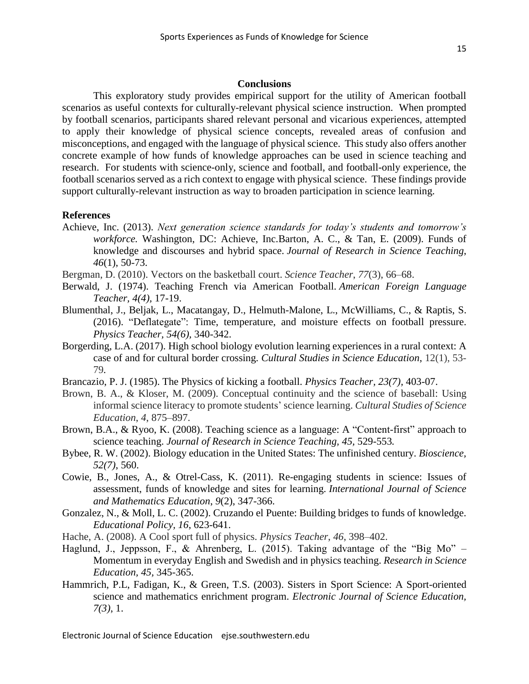#### **Conclusions**

This exploratory study provides empirical support for the utility of American football scenarios as useful contexts for culturally-relevant physical science instruction. When prompted by football scenarios, participants shared relevant personal and vicarious experiences, attempted to apply their knowledge of physical science concepts, revealed areas of confusion and misconceptions, and engaged with the language of physical science. This study also offers another concrete example of how funds of knowledge approaches can be used in science teaching and research. For students with science-only, science and football, and football-only experience, the football scenarios served as a rich context to engage with physical science. These findings provide support culturally-relevant instruction as way to broaden participation in science learning.

#### **References**

- Achieve, Inc. (2013). *Next generation science standards for today's students and tomorrow's workforce.* Washington, DC: Achieve, Inc.Barton, A. C., & Tan, E. (2009). Funds of knowledge and discourses and hybrid space. *Journal of Research in Science Teaching*, *46*(1), 50-73.
- Bergman, D. (2010). Vectors on the basketball court. *Science Teacher*, *77*(3), 66–68.
- Berwald, J. (1974). Teaching French via American Football. *American Foreign Language Teacher, 4(4),* 17-19.
- Blumenthal, J., Beljak, L., Macatangay, D., Helmuth-Malone, L., McWilliams, C., & Raptis, S. (2016). "Deflategate": Time, temperature, and moisture effects on football pressure. *Physics Teacher, 54(6),* 340-342.
- Borgerding, L.A. (2017). High school biology evolution learning experiences in a rural context: A case of and for cultural border crossing. *Cultural Studies in Science Education*, 12(1), 53- 79*.*
- Brancazio, P. J. (1985). The Physics of kicking a football. *Physics Teacher, 23(7),* 403-07.
- Brown, B. A., & Kloser, M. (2009). Conceptual continuity and the science of baseball: Using informal science literacy to promote students' science learning. *Cultural Studies of Science Education*, *4*, 875–897.
- Brown, B.A., & Ryoo, K. (2008). Teaching science as a language: A "Content-first" approach to science teaching. *Journal of Research in Science Teaching, 45,* 529-553*.*
- Bybee, R. W. (2002). Biology education in the United States: The unfinished century. *Bioscience, 52(7)*, 560.
- Cowie, B., Jones, A., & Otrel-Cass, K. (2011). Re-engaging students in science: Issues of assessment, funds of knowledge and sites for learning. *International Journal of Science and Mathematics Education*, *9*(2), 347-366.
- Gonzalez, N., & Moll, L. C. (2002). Cruzando el Puente: Building bridges to funds of knowledge. *Educational Policy, 16*, 623-641.
- Hache, A. (2008). A Cool sport full of physics. *Physics Teacher*, *46*, 398–402.
- Haglund, J., Jeppsson, F., & Ahrenberg, L. (2015). Taking advantage of the "Big Mo"  $-$ Momentum in everyday English and Swedish and in physics teaching. *Research in Science Education, 45,* 345-365.
- Hammrich, P.L, Fadigan, K., & Green, T.S. (2003). Sisters in Sport Science: A Sport-oriented science and mathematics enrichment program. *Electronic Journal of Science Education, 7(3)*, 1.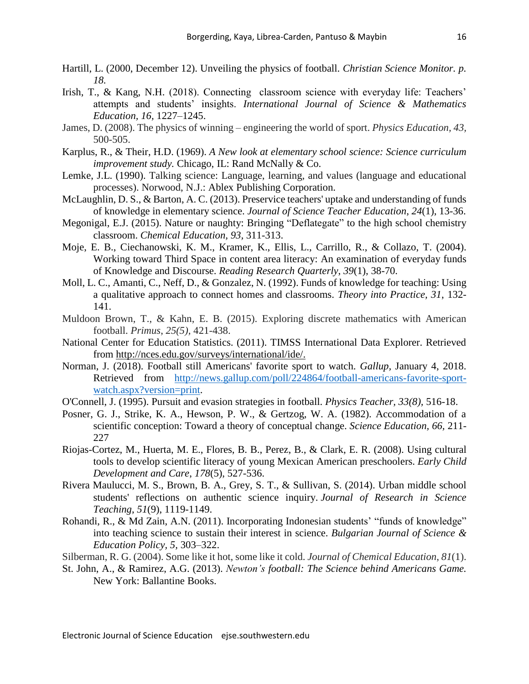- Hartill, L. (2000, December 12). Unveiling the physics of football. *Christian Science Monitor. p. 18.*
- Irish, T., & Kang, N.H. (2018). Connecting classroom science with everyday life: Teachers' attempts and students' insights. *International Journal of Science & Mathematics Education, 16,* 1227–1245.
- James, D. (2008). The physics of winning engineering the world of sport. *Physics Education, 43,*  500-505.
- Karplus, R., & Their, H.D. (1969). *A New look at elementary school science: Science curriculum improvement study.* Chicago, IL: Rand McNally & Co.
- Lemke, J.L. (1990). Talking science: Language, learning, and values (language and educational processes). Norwood, N.J.: Ablex Publishing Corporation.
- McLaughlin, D. S., & Barton, A. C. (2013). Preservice teachers' uptake and understanding of funds of knowledge in elementary science. *Journal of Science Teacher Education*, *24*(1), 13-36.
- Megonigal, E.J. (2015). Nature or naughty: Bringing "Deflategate" to the high school chemistry classroom. *Chemical Education, 93,* 311-313.
- Moje, E. B., Ciechanowski, K. M., Kramer, K., Ellis, L., Carrillo, R., & Collazo, T. (2004). Working toward Third Space in content area literacy: An examination of everyday funds of Knowledge and Discourse. *Reading Research Quarterly*, *39*(1), 38-70.
- Moll, L. C., Amanti, C., Neff, D., & Gonzalez, N. (1992). Funds of knowledge for teaching: Using a qualitative approach to connect homes and classrooms. *Theory into Practice, 31*, 132- 141.
- Muldoon Brown, T., & Kahn, E. B. (2015). Exploring discrete mathematics with American football. *Primus*, *25(5),* 421-438.
- National Center for Education Statistics. (2011). TIMSS International Data Explorer. Retrieved from [http://nces.edu.gov/surveys/international/ide/.](http://nces.edu.gov/surveys/international/ide/)
- Norman, J. (2018). Football still Americans' favorite sport to watch. *Gallup,* January 4, 2018. Retrieved from [http://news.gallup.com/poll/224864/football-americans-favorite-sport](http://news.gallup.com/poll/224864/football-americans-favorite-sport-watch.aspx?version=print)[watch.aspx?version=print.](http://news.gallup.com/poll/224864/football-americans-favorite-sport-watch.aspx?version=print)
- O'Connell, J. (1995). Pursuit and evasion strategies in football. *Physics Teacher, 33(8),* 516-18.
- Posner, G. J., Strike, K. A., Hewson, P. W., & Gertzog, W. A. (1982). Accommodation of a scientific conception: Toward a theory of conceptual change. *Science Education, 66,* 211- 227
- Riojas-Cortez, M., Huerta, M. E., Flores, B. B., Perez, B., & Clark, E. R. (2008). Using cultural tools to develop scientific literacy of young Mexican American preschoolers. *Early Child Development and Care*, *178*(5), 527-536.
- Rivera Maulucci, M. S., Brown, B. A., Grey, S. T., & Sullivan, S. (2014). Urban middle school students' reflections on authentic science inquiry. *Journal of Research in Science Teaching*, *51*(9), 1119-1149.
- Rohandi, R., & Md Zain, A.N. (2011). Incorporating Indonesian students' "funds of knowledge" into teaching science to sustain their interest in science. *Bulgarian Journal of Science & Education Policy, 5,* 303–322.
- Silberman, R. G. (2004). Some like it hot, some like it cold. *Journal of Chemical Education*, *81*(1).
- St. John, A., & Ramirez, A.G. (2013). *Newton's football: The Science behind Americans Game.* New York: Ballantine Books.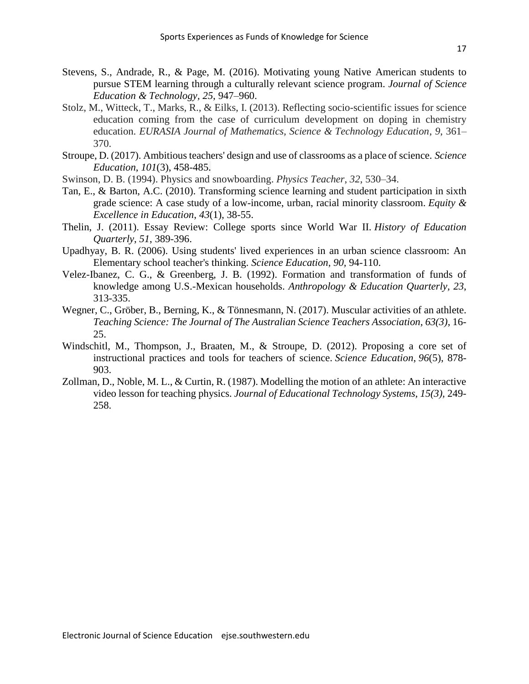- Stevens, S., Andrade, R., & Page, M. (2016). Motivating young Native American students to pursue STEM learning through a culturally relevant science program. *Journal of Science Education & Technology, 25*, 947–960.
- Stolz, M., Witteck, T., Marks, R., & Eilks, I. (2013). Reflecting socio-scientific issues for science education coming from the case of curriculum development on doping in chemistry education. *EURASIA Journal of Mathematics, Science & Technology Education*, *9*, 361– 370.
- Stroupe, D. (2017). Ambitious teachers' design and use of classrooms as a place of science. *Science Education*, *101*(3), 458-485.
- Swinson, D. B. (1994). Physics and snowboarding. *Physics Teacher*, *32*, 530–34.
- Tan, E., & Barton, A.C. (2010). Transforming science learning and student participation in sixth grade science: A case study of a low-income, urban, racial minority classroom. *Equity & Excellence in Education*, *43*(1), 38-55.
- Thelin, J. (2011). Essay Review: College sports since World War II. *History of Education Quarterly*, *51*, 389-396.
- Upadhyay, B. R. (2006). Using students' lived experiences in an urban science classroom: An Elementary school teacher's thinking. *Science Education, 90,* 94-110.
- Velez-Ibanez, C. G., & Greenberg, J. B. (1992). Formation and transformation of funds of knowledge among U.S.-Mexican households. *Anthropology & Education Quarterly, 23*, 313-335.
- Wegner, C., Gröber, B., Berning, K., & Tönnesmann, N. (2017). Muscular activities of an athlete. *Teaching Science: The Journal of The Australian Science Teachers Association, 63(3)*, 16- 25.
- Windschitl, M., Thompson, J., Braaten, M., & Stroupe, D. (2012). Proposing a core set of instructional practices and tools for teachers of science. *Science Education*, *96*(5), 878- 903.
- Zollman, D., Noble, M. L., & Curtin, R. (1987). Modelling the motion of an athlete: An interactive video lesson for teaching physics. *Journal of Educational Technology Systems, 15(3),* 249- 258.